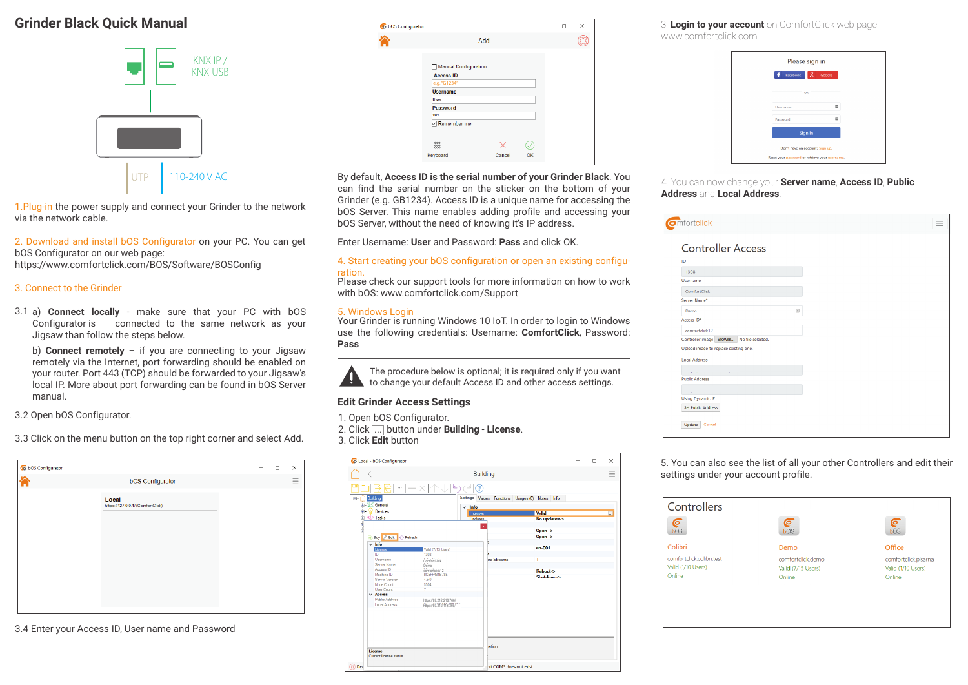## **Grinder Black Quick Manual**



1.Plug-in the power supply and connect your Grinder to the network via the network cable.

2. Download and install bOS Configurator on your PC. You can get bOS Configurator on our web page: https://www.comfortclick.com/BOS/Software/BOSConfig

3. Connect to the Grinder

3.1 a) **Connect locally** - make sure that your PC with bOS Configurator is connected to the same network as your Jigsaw than follow the steps below.

b) **Connect remotely** – if you are connecting to your Jigsaw remotely via the Internet, port forwarding should be enabled on your router. Port 443 (TCP) should be forwarded to your Jigsaw's local IP. More about port forwarding can be found in bOS Server manual.

3.2 Open bOS Configurator.

3.3 Click on the menu button on the top right corner and select Add.

| CabOS Configurator |                                            | $\Box$ | $\times$ |
|--------------------|--------------------------------------------|--------|----------|
|                    | <b>bOS Configurator</b>                    |        |          |
|                    | Local<br>https://127.0.0.1/ (ComfortClick) |        |          |
|                    |                                            |        |          |
|                    |                                            |        |          |

3.4 Enter your Access ID, User name and Password

| <b>Q</b> b bOS Configurator |                                                                                                                                                  |        |    | п | X |  |
|-----------------------------|--------------------------------------------------------------------------------------------------------------------------------------------------|--------|----|---|---|--|
|                             |                                                                                                                                                  | Add    |    |   |   |  |
|                             | Manual Configuration<br><b>Access ID</b><br>e.g. "G1234"<br><b>Username</b><br>User<br>Password<br><b>STEE</b><br>Remember me<br>888<br>Keyboard | Cancel | OK |   |   |  |

By default, **Access ID is the serial number of your Grinder Black**. You can find the serial number on the sticker on the bottom of your Grinder (e.g. GB1234). Access ID is a unique name for accessing the bOS Server. This name enables adding profile and accessing your bOS Server, without the need of knowing it's IP address.

Enter Username: **User** and Password: **Pass** and click OK.

#### 4. Start creating your bOS configuration or open an existing configuration.

Please check our support tools for more information on how to work with bOS: www.comfortclick.com/Support

#### 5. Windows Login

Your Grinder is running Windows 10 IoT. In order to login to Windows use the following credentials: Username: **ComfortClick**, Password: **Pass**

The procedure below is optional; it is required only if you want to change your default Access ID and other access settings.

### **Edit Grinder Access Settings**

1. Open bOS Configurator.

2. Click ... button under **Building** - **License**.

3. Click **Edit** button

|           | C Local - bOS Configurator         |                               |                          |                         |                                                 | $\Box$ | $\times$ |
|-----------|------------------------------------|-------------------------------|--------------------------|-------------------------|-------------------------------------------------|--------|----------|
|           |                                    |                               |                          | <b>Building</b>         |                                                 |        |          |
| E-        | $\cdots$<br>Building               | $+ \times$ $+ \lor \lor \lor$ | ?                        |                         | Settings Values Functions Usages (6) Notes Info |        |          |
| ÷.        | E SK General<br>Devices            |                               | $~\vee~$ Info<br>License |                         | Valid                                           |        | $\cdots$ |
|           | <b>ம். லி Tasks</b>                |                               | <b>U</b> ndates          |                         | No updates->                                    |        |          |
| 国际国       | Buy <i>L</i> Edit Refresh          |                               | $\mathbf{x}$             |                         | Open $\rightarrow$<br>Open $\rightarrow$        |        |          |
|           | $\vee$ Info<br>License             | Valid (7/13 Users)            |                          |                         | $en-001$                                        |        |          |
|           | ID                                 | 1308                          |                          |                         |                                                 |        |          |
|           | Username                           | ComfortClick                  |                          | tra Streams             | 1                                               |        |          |
|           | Server Name                        | Demo                          |                          |                         |                                                 |        |          |
|           | Access ID                          | comfortclick12                |                          |                         | Reboot->                                        |        |          |
|           | Machine ID                         | <b>BC5FF431B78E</b>           |                          |                         | Shutdown->                                      |        |          |
|           | <b>Server Version</b>              | 450                           |                          |                         |                                                 |        |          |
|           | Node Count                         | 5304                          |                          |                         |                                                 |        |          |
|           | <b>Hiser Count</b>                 | 7                             |                          |                         |                                                 |        |          |
|           | $\vee$ Access                      |                               |                          |                         |                                                 |        |          |
|           | Public Address                     | https://89.212.218.766        |                          |                         |                                                 |        |          |
|           | <b>Local Address</b>               | https://89.212.118.366/       |                          |                         |                                                 |        |          |
|           | License<br>Current license status. |                               |                          | <b>ation</b>            |                                                 |        |          |
| രി<br>Dev |                                    |                               |                          | ht COM3 does not exist. |                                                 |        |          |

3. **Login to your account** on ComfortClick web page www.comfortclick.com

| Facebook        | 8<br>Google |  |
|-----------------|-------------|--|
|                 |             |  |
| OR              |             |  |
| <b>Username</b> |             |  |
| Password        |             |  |
| Sign in         |             |  |
|                 |             |  |

### 4. You can now change your **Server name**, **Access ID**, **Public Address** and **Local Address**.

| <b>Omfortclick</b>                        |  |   |
|-------------------------------------------|--|---|
| <b>Controller Access</b><br>ID            |  |   |
| 1308                                      |  |   |
| Username                                  |  |   |
| ComfortClick                              |  |   |
| Server Name*                              |  |   |
| Demo                                      |  | 圓 |
| Access ID*                                |  |   |
| comfortclick12                            |  |   |
| Controller image Browse No file selected. |  |   |
| Upload image to replace existing one.     |  |   |
| <b>Local Address</b>                      |  |   |
|                                           |  |   |
| <b>Public Address</b>                     |  |   |
|                                           |  |   |
| <b>Using Dynamic IP</b>                   |  |   |
| <b>Set Public Address</b>                 |  |   |
|                                           |  |   |
| Update<br>Cancel                          |  |   |
|                                           |  |   |

5. You can also see the list of all your other Controllers and edit their settings under your account profile.

| Controllers               |                    |                      |
|---------------------------|--------------------|----------------------|
| ⋐<br>bOS                  | O<br>bOS           | ©<br>bOS             |
| Colibri                   | Demo               | Office               |
| comfortclick colibri test | comfortclick.demo  | comfortclick.pisarna |
| Valid (1/10 Users)        | Valid (7/15 Users) | Valid (1/10 Users)   |
| Online                    | Online             | Online               |